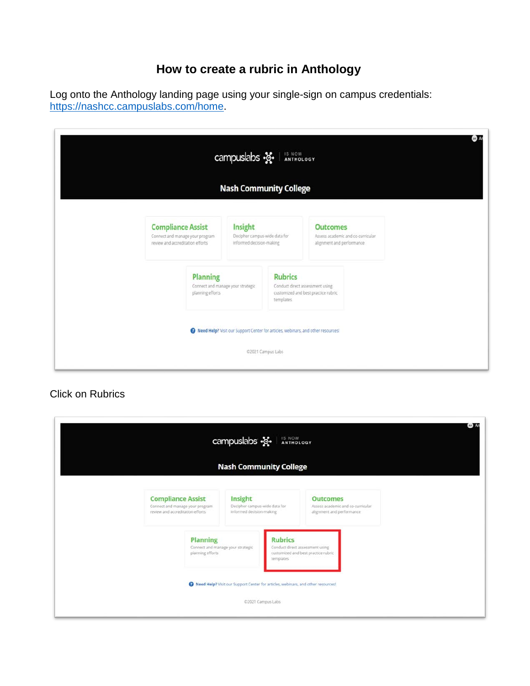## **How to create a rubric in Anthology**

Log onto the Anthology landing page using your single-sign on campus credentials: [https://nashcc.campuslabs.com/home.](https://nashcc.campuslabs.com/home)

|                                                                                                 | campuslabs $\frac{1}{2}$<br><b>Nash Community College</b>                        |                             |                                                                        |                                   |
|-------------------------------------------------------------------------------------------------|----------------------------------------------------------------------------------|-----------------------------|------------------------------------------------------------------------|-----------------------------------|
| <b>Compliance Assist</b><br>Connect and manage your program<br>review and accreditation efforts | Insight<br>Decipher campus-wide data for<br>informed decision-making             |                             | <b>Outcomes</b><br>alignment and performance                           | Assess academic and co-curricular |
| <b>Planning</b><br>planning efforts                                                             | Connect and manage your strategic                                                | <b>Rubrics</b><br>templates | Conduct direct assessment using<br>customized and best practice rubric |                                   |
|                                                                                                 | Reed Help? Visit our Support Center for articles, webinars, and other resources! | 02021 Campus Labs           |                                                                        |                                   |

## Click on Rubrics

|                                                                                                  | campuslabs $\frac{12}{12}$<br><b>Nash Community College</b>                      | IS NOW ANTHOLOGY  |                                                                                   | AB A |
|--------------------------------------------------------------------------------------------------|----------------------------------------------------------------------------------|-------------------|-----------------------------------------------------------------------------------|------|
| <b>Compliance Assist</b><br>Connect and manage your program.<br>review and accreditation efforts | Insight<br>Decipher campus-wide data for<br>informed decision-making             |                   | <b>Outcomes</b><br>Assess academic and co-curricular<br>alignment and performance |      |
| <b>Planning</b><br>Connect and manage your strategic<br>planning efforts                         | <b>Rubrics</b><br>templates                                                      |                   | Conduct direct assessment using<br>customized and best practice rubric            |      |
|                                                                                                  | Reed Help? Visit our Support Center for articles, webinars, and other resources! | ©2021 Campus Labs |                                                                                   |      |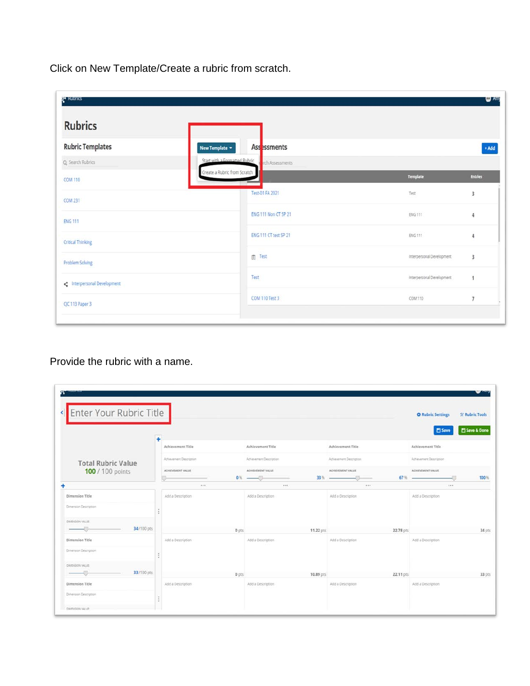Click on New Template/Create a rubric from scratch.

| 2 <sup>4</sup> Rubrics    |                                                  |                           | <b>O</b> Amy   |
|---------------------------|--------------------------------------------------|---------------------------|----------------|
| <b>Rubrics</b>            |                                                  |                           |                |
| <b>Rubric Templates</b>   | Ass <sub>essments</sub><br>New Template $\star$  |                           | $+ Add$        |
| Q. Search Rubrics         | Start with a Cormatted Rubric<br>rch Assessments |                           |                |
| <b>COM 110</b>            | Create a Rubric from Scratch                     | Template                  | <b>Entries</b> |
| <b>COM 231</b>            | Test-01 FA 2021                                  | Test                      | 3              |
| <b>ENG 111</b>            | ENG 111 Non CT SP 21                             | ENG 111                   | $\overline{4}$ |
| <b>Critical Thinking</b>  | ENG 111 CT test SP 21                            | ENG 111                   | $\sqrt{4}$     |
| Problem Solving           | 图 Test                                           | Interpersonal Development | 3              |
| interpersonal Development | Test                                             | Interpersonal Development | $\mathbf{1}$   |
| CJC 113 Paper 3           | COM 110 Test 3                                   | COM 110                   | $\overline{7}$ |
|                           |                                                  |                           |                |

Provide the rubric with a name.

| ×<br>Enter Your Rubric Title             |                         |       |                         |                          |           | <b>O</b> Rubric Settings<br><b>El Save</b> | 父 Rubric Tools<br>Save & Done |
|------------------------------------------|-------------------------|-------|-------------------------|--------------------------|-----------|--------------------------------------------|-------------------------------|
|                                          | 4<br>Achievement Title  |       | Achievement Title       | Achievement Title        |           | Achievement Title                          |                               |
| <b>Total Rubric Value</b>                | Activusment Description |       | Achievement Description | Achievement Description  |           | Athevement Description                     |                               |
| 100 / 100 points                         | ACHIEVEMENT VALUE       |       | ACHIEVEMENT VALUE       | ACHIEVEMENT VALUE<br>33% | $67%$ –   | ACHIEVEMENT VALUE                          | 100%                          |
|                                          | 1.11                    |       | 1.1.1                   | 111                      |           | 1.11                                       |                               |
| Dimension Title<br>Dimension Description | Add a Description       |       | Add a Description       | Add a Description        |           | Add a Description                          |                               |
| <b>OMENSION VALUE</b>                    |                         |       |                         |                          |           |                                            |                               |
| 34/100 pts                               |                         | 0 pts |                         | 11.22 pts                | 22.78 pts |                                            | 34 pts                        |
| Dimension Title<br>Dimension Description | Add a Description       |       | Add a Description       | Add a Description        |           | Add a Description                          |                               |
| DIMENSION VALUE<br>33/100 pts            |                         | 0 pts |                         | 10.89 pts                | 22.11 pts |                                            | 33 pts                        |
| Dimension Title                          | Add a Description       |       | Add a Description       | Add a Description        |           | Add a Description                          |                               |
| Dimension Description                    |                         |       |                         |                          |           |                                            |                               |
| DAINVONTAGE.                             |                         |       |                         |                          |           |                                            |                               |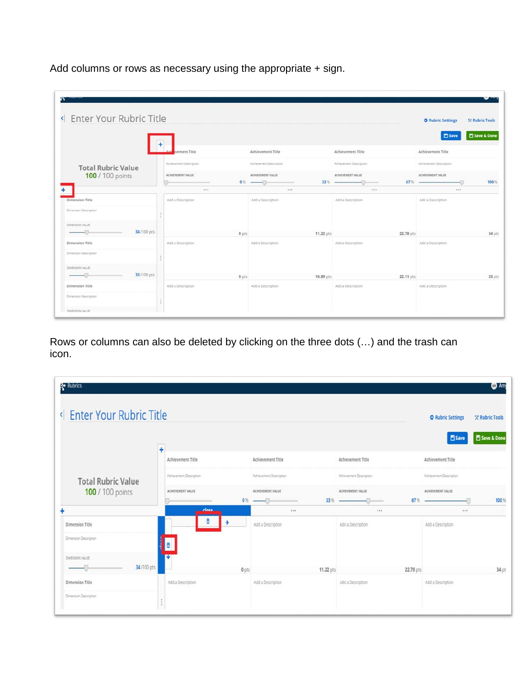Add columns or rows as necessary using the appropriate + sign.

| « Enter Your Rubric Title    |                           |                                 |           |                          | <b>C</b> Rubric Settings<br><b>X Rubric Tools</b>  |        |
|------------------------------|---------------------------|---------------------------------|-----------|--------------------------|----------------------------------------------------|--------|
|                              | vement Title              | Achievement Title               |           | Achievement Title        | Save & Done<br><b>El Save</b><br>Achievement Title |        |
| <b>Total Rubric Value</b>    | Achievement Description   | Achievement Description         |           | Achievement Description  | Achievement Description                            |        |
| 100 / 100 points             | ACHIEVEMENT VALUE         | ACHIEVEMENT VALUE<br>$0%$ - $%$ | 33%       | ACHIEVEMENT VALUE<br>67% | ACHIVEMENT VALUE                                   | 100%   |
| <b>Dimension Title</b>       | 1.11<br>Add a Description | Add a Description               | 1.14      | <br>Add a Description    | 1.1.1<br>Add a Description                         |        |
| Dimension Description        |                           |                                 |           |                          |                                                    |        |
| DIMENSION VALUE              |                           |                                 |           |                          |                                                    |        |
| 34/100 pts                   |                           | $0$ pts                         | 11.22 pts | 22.78 pts                |                                                    | 34 pts |
| Dimension Title              | Add a Description         | Add a Description               |           | Add a Description        | Add a Description                                  |        |
| <b>Dimension Description</b> |                           |                                 |           |                          |                                                    |        |
| DIVENSION VALUE              |                           |                                 |           |                          |                                                    |        |
| 33/100 pts                   |                           | 0 pts                           | 10.89 pts | 22.11 pts                |                                                    | 33 pts |
| Dimension Title              | Add a Description         | Add a Description               |           | Add a Description        | Add a Description                                  |        |
| Dimension Description        |                           |                                 |           |                          |                                                    |        |

Rows or columns can also be deleted by clicking on the three dots (…) and the trash can icon.

| <b>B</b> Rubrics                                                     |                         |                         |                             | $\bullet$ Am                               |
|----------------------------------------------------------------------|-------------------------|-------------------------|-----------------------------|--------------------------------------------|
| <b>Enter Your Rubric Title</b><br>$\left\langle \cdot \right\rangle$ |                         |                         |                             | <b>C</b> Rubric Settings<br>父 Rubric Tools |
|                                                                      | Ŧ                       |                         |                             | Save & Done<br><b>門 Save</b>               |
|                                                                      | Achievement Title       | Achievement Title       | Achievement Title           | Achievement Title                          |
| <b>Total Rubric Value</b>                                            | Achievement Description | Achievement Description | Achievement Description     | Achievement Description                    |
| 100 / 100 points                                                     | ACHIEVEMENT VALUE       | ACHIEVEMENT VALUE       | ACHIEVEMENT VALUE           | ACHIEVEMENT VALUE                          |
|                                                                      | close                   | $0%$ -<br>111           | 33%<br>67%<br>$\sim$<br>148 | 100%<br>111                                |
|                                                                      | E                       |                         |                             |                                            |
| Dimension Title                                                      |                         | Add a Description       | Add a Description           | Add a Description                          |
| Dimension Description                                                | ō                       |                         |                             |                                            |
| DIMENSION VALUE:                                                     |                         |                         |                             |                                            |
| 34/100 pts                                                           | 0 pts                   | 11.22 pts               | 22.78 pts                   | 34 pt                                      |
| Dimension Title                                                      | Add a Description       | Add a Description       | Add a Description           | Add a Description                          |
| Dimension Description                                                | $\epsilon$<br>÷         |                         |                             |                                            |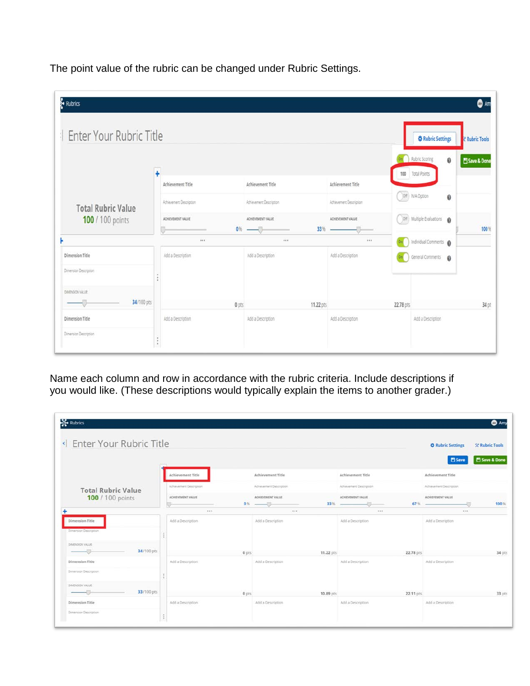The point value of the rubric can be changed under Rubric Settings.

| Rubrics<br>Enter Your Rubric Title       |                      |                                              |                                              |                          |           | <b><math>\Phi</math> Rubric Settings</b>          | <b>O</b> Am<br><b>K</b> Rubric Tools |
|------------------------------------------|----------------------|----------------------------------------------|----------------------------------------------|--------------------------|-----------|---------------------------------------------------|--------------------------------------|
|                                          | Ŧ                    |                                              |                                              | Achievement Title        |           | <b>De Rubric Scoring</b><br>0<br>100 Total Points | Save & Done                          |
| <b>Total Rubric Value</b>                |                      | Achievement Title<br>Achievement Description | Achievement Title<br>Achievement Description | Achievement Description  |           | Off N/A Option<br>0                               |                                      |
| 100 / 100 points                         |                      | ACHIEVEMENT VALUE                            | ACHIEVEMENT VALUE<br>$0\%$ - $\Box$          | ACHIEVEMENT VALUE<br>33% |           | Off Multiple Evaluations @                        | 100%                                 |
|                                          |                      | 188                                          |                                              | 111                      |           | Individual Comments                               |                                      |
| Dimension Title<br>Dimension Description |                      | Add a Description                            | Add a Description                            | Add a Description        |           | General Comments <b>Q</b>                         |                                      |
|                                          | $\ddot{\phantom{1}}$ |                                              |                                              |                          |           |                                                   |                                      |
| DIMENSION VALUE                          |                      |                                              |                                              |                          |           |                                                   |                                      |
| 34/100 pts                               |                      | 0 pts                                        | 11.22 pts                                    |                          | 22.78 pts |                                                   | 34 pt                                |
| Dimension Title                          |                      | Add a Description                            | Add a Description                            | Add a Description        |           | Add a Description                                 |                                      |
| Dimension Description                    | $\bullet$<br>t.      |                                              |                                              |                          |           |                                                   |                                      |

Name each column and row in accordance with the rubric criteria. Include descriptions if you would like. (These descriptions would typically explain the items to another grader.)

| Inter Your Rubric Title                  |                         |       |                         |           |                         |           | <b>O</b> Rubric Settings | <b>X Rubric Tools</b> |
|------------------------------------------|-------------------------|-------|-------------------------|-----------|-------------------------|-----------|--------------------------|-----------------------|
|                                          |                         |       |                         |           |                         |           | <b>El Save</b>           | Save & Done           |
|                                          | Achievement Title       |       | Achievement Title       |           | Achievement Title       |           | Achievement Title        |                       |
| <b>Total Rubric Value</b>                | Achievement Description |       | Achievement Description |           | Achievement Description |           | Adverement Description   |                       |
| 100 / 100 points                         | ACHIEVEMENT VALUE       |       | ACHIEVEMENT VALUE       | 33%       | ACHIEVEMENT VALUE       | 67%       | ACHIEVEMENT VALUE        | 100%                  |
|                                          | $-0.5$                  |       | 7.58                    |           | 1.11                    |           | 1.11                     |                       |
| Dimension Title<br>Dynansion Description | Add a Description       |       | Add a Description       |           | Add a Description       |           | Add a Description        |                       |
| DIMENSION VALUE:                         |                         |       |                         |           |                         |           |                          |                       |
| 34/100 pts                               |                         | 0 pts |                         | 11.22 pts |                         | 22.78 pts |                          | 34 pts                |
| Dimension Title                          | Add a Description       |       | Add a Description       |           | Add a Description       |           | Add a Description        |                       |
| Dimension Description                    |                         |       |                         |           |                         |           |                          |                       |
| DIMENSION VALUE                          |                         |       |                         |           |                         |           |                          |                       |
| 33/100 pts                               |                         | 0 pts |                         | 10.89 pts |                         | 22.11 pts |                          | 33 pts                |
| Dimension Title                          | Add a Description       |       | Add a Description       |           | Add a Description       |           | Add a Description        |                       |
| Dimension Description                    |                         |       |                         |           |                         |           |                          |                       |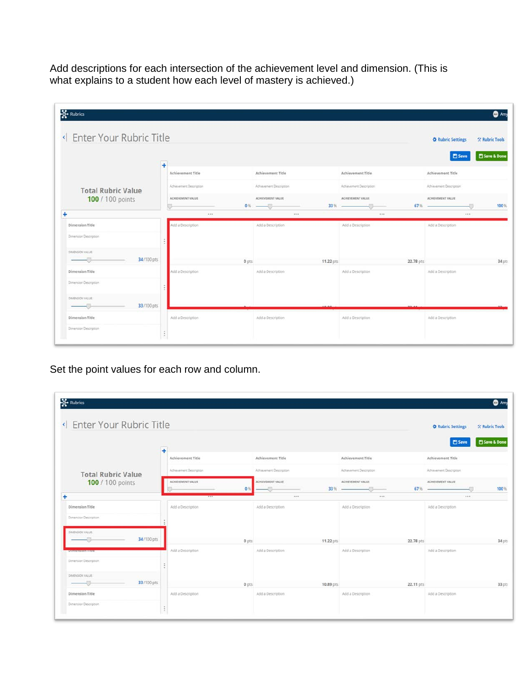Add descriptions for each intersection of the achievement level and dimension. (This is what explains to a student how each level of mastery is achieved.)

| <b>S</b> Rubrics<br>Inter Your Rubric Title |                   |                         |       |                                    |           |                           |           | <b>C</b> Rubric Settings                      | <b>O</b> Amy<br><b>X Rubric Tools</b> |
|---------------------------------------------|-------------------|-------------------------|-------|------------------------------------|-----------|---------------------------|-----------|-----------------------------------------------|---------------------------------------|
|                                             | ÷                 |                         |       |                                    |           |                           |           | <b>E</b> Save                                 | Save & Done                           |
|                                             |                   | Achievement Title       |       | Achievement Title                  |           | Achievement Title         |           | Achievement Title                             |                                       |
| <b>Total Rubric Value</b>                   |                   | Achievement Description |       | Advisionent Description            |           | Achievement Description   |           | Achievement Description                       |                                       |
| 100 / 100 points                            |                   | ACHIEVEMENT VALUE       |       | ACHIEVEMENT VALUE<br>$0\%$ - $0\%$ |           | ACHIEVEMENT VALUE<br>33 % |           | ACHIEVEMENT VALUE<br>$67\%$ $\longrightarrow$ | 100%                                  |
| ÷                                           |                   | $\cdots$                |       | 112                                |           |                           |           | $-0.015$                                      |                                       |
| Dimension Title<br>Dimension Description    |                   | Add a Description       |       | Add a Description                  |           | Add a Description         |           | Add a Description                             |                                       |
| DIMENSION VALUE<br>34/100 pts               |                   |                         | 0 pts |                                    | 11.22 pts |                           | 22.78 pts |                                               | 34 pts                                |
| Dimension Title                             |                   | Add a Description       |       | Add a Description                  |           | Add a Description         |           | Add a Description                             |                                       |
| Dimension Description                       |                   |                         |       |                                    |           |                           |           |                                               |                                       |
| DIMENSION VALUE:<br>33/100 pts              |                   |                         |       |                                    |           |                           |           |                                               |                                       |
| Dimension Title                             |                   | Add a Description       |       | Add a Description                  |           | Add a Description         |           | Add a Description                             |                                       |
| Dimension Description                       | $\ddot{\ddot{z}}$ |                         |       |                                    |           |                           |           |                                               |                                       |

Set the point values for each row and column.

| Inter Your Rubric Title    |                         |                               |                          | <b>O</b> Rubric Settings                    | * Rubric Tools                |
|----------------------------|-------------------------|-------------------------------|--------------------------|---------------------------------------------|-------------------------------|
|                            | ÷                       |                               |                          |                                             | Save & Done<br><b>El Save</b> |
|                            | Achievement Title       | Achievement Title             | Achievement Title        | Achievement Title                           |                               |
| <b>Total Rubric Value</b>  | Achievement Description | Advancement Description       | Achievement Description  | Achievement Description                     |                               |
| 100 / 100 points           | ACHEVEMENT VALUE        | ACHIEVEMENT VALUE<br>$\Omega$ | ACHIEVEMENT VALUE<br>33% | ACHEVEMENT VALUE<br>$67%$ $\longrightarrow$ | 100%                          |
|                            | 1.11                    |                               | 1.1.1                    |                                             | 428.                          |
| Dimension Title            | Add a Description       | Add a Description             | Add a Description        | Add a Description                           |                               |
| Dimension Description      |                         |                               |                          |                                             |                               |
| DIMENSION VALUE            |                         |                               |                          |                                             |                               |
| 34/100 pts                 |                         | 0 pts                         | 11.22 pts                | 22.78 pts                                   | 34 pts                        |
| <b>Uthnicitation There</b> | Add a Description       | Add a Description             | Add a Description        | Add a Description                           |                               |
| Dimension Description      | ÷                       |                               |                          |                                             |                               |
| DIMENSION VALUE            |                         |                               |                          |                                             |                               |
| 33/100 pts                 |                         | 0 pts                         | 10.89 pts                | 22.11 pts                                   | 33 pts                        |
|                            | Add a Description       | Add a Description             | Add a Description        | Add a Description                           |                               |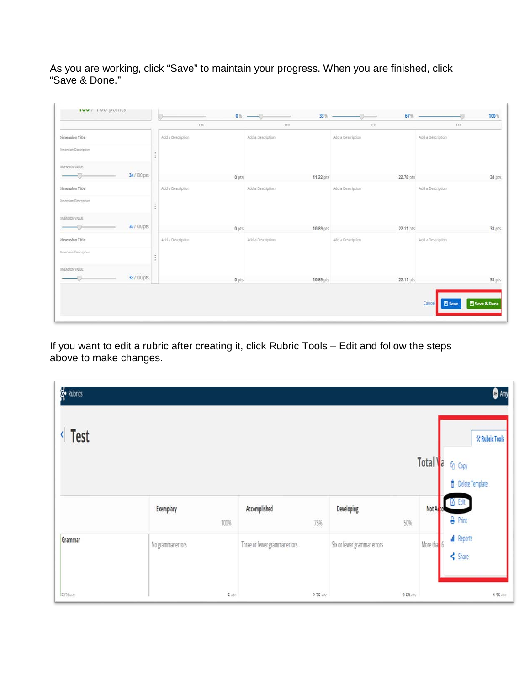As you are working, click "Save" to maintain your progress. When you are finished, click "Save & Done."

|                              | $\alpha$ and      | $0\%$ - $\qquad$<br>$-1$<br>7.68 | 33% –     | $67%$ –<br>$***$  | 888                      | 100%        |
|------------------------------|-------------------|----------------------------------|-----------|-------------------|--------------------------|-------------|
| <b>Jimension Title</b>       | Add a Description | Add a Description.               |           | Add a Description | Add a Description        |             |
| Ilmension Description        |                   |                                  |           |                   |                          |             |
| IMENSON VALUE                |                   |                                  |           |                   |                          |             |
| 34/100 pts                   | $0$ pts           |                                  | 11.22 pts | 22.78 pts         |                          | 34 pts      |
| Jimension Title              | Add a Description | Add a Description                |           | Add a Description | Add a Description        |             |
| <b>Amerision Description</b> |                   |                                  |           |                   |                          |             |
| IMENSION VALUE:              |                   |                                  |           |                   |                          |             |
| 33/100 pts<br>-9             | 0 pts             |                                  | 10.89 pts | 22.11 pts         |                          | 33 pts      |
| <b>Nimension Title</b>       | Add a Description | Add a Description                |           | Add a Description | Add a Description        |             |
| <b>Amension Description</b>  |                   |                                  |           |                   |                          |             |
| INENSON VALUE                |                   |                                  |           |                   |                          |             |
| 33/100 pts                   | 0 pts             |                                  | 10.89 pts | 22.11 pts         |                          | 33 pts      |
|                              |                   |                                  |           |                   |                          |             |
|                              |                   |                                  |           |                   | Cancel<br><b>El Save</b> | Save & Done |

If you want to edit a rubric after creating it, click Rubric Tools – Edit and follow the steps above to make changes.

| <b>B</b> Rubrics |                   |                               |                             |          | $\bullet$ Amy                                                         |
|------------------|-------------------|-------------------------------|-----------------------------|----------|-----------------------------------------------------------------------|
| Test             |                   |                               |                             | Total    | <b>父 Rubric Tools</b><br>a<br>G Copy<br><b><i>Delete</i></b> Template |
|                  | Exemplary<br>100% | Accomplished<br>75%           | Developing<br>50%           | Not A    | <b>Legit</b><br><b>A</b> Print                                        |
| Grammar          | No grammar errors | Three or fewer grammar errors | Six or fewer grammar errors | More tha | d Reports<br>$\leq$ Share                                             |
| Ennete           | $k$ with          | $275$ ntc                     | $2.50$ ntc                  |          | $125$ ntc                                                             |